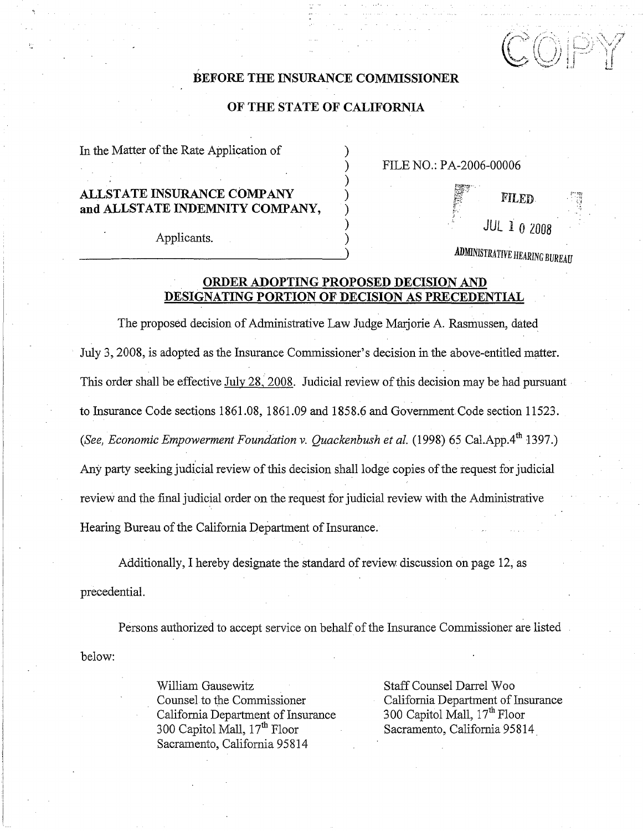$\mathbb{C} \overline{\mathbb{O}} \mathbb{P}$ 

### **BEFORE THE INSURANCE COMMISSIONER**

#### **OF THE STATE OF CALIFORNIA**

In the Matter of the Rate Application of

# **ALLSTATE INSURANCE COMPANY** ) ALLSTATE INSURANCE COMPANY (1)<br>and ALLSTATE INDEMNITY COMPANY,  $\qquad$  )

) FILE NO.: **P**A-2006-00006

Applicants. )

*ADMINISTRATIVE HEARING BUREAU* 

) **JUL** *l* O2008

### **ORDER ADOPTING PROPOSED DECISION AND DESIGNATING PORTION OF DECISION AS PRECEDENTIAL**

)

The proposed decision of Administrative Law Judge Marjorie A. Rasmussen, dated July 3, 2008, is adopted as the Insurance Commissioner's decision in the above-entitled matter. This order shall be effective July 28, 2008. Judicial review of this decision may be had pursuant to Insurance Code sections 1861.08, 1861.09 and 1858.6 and Government Code section 11523. *(See, Economic Empowerment Foundation v. Ouackenbush et al. (1998) 65 Cal.App.4th 1397.)* Any party seeking judicial review of this decision shall lodge copies of the request for judicial review and the final judicial order on the request for judicial review with the Administrative Hearing Bureau of the California Department of Insurance.

Additionally, I hereby designate the standard of review discussion on page 12, as precedential.

Persons authorized to accept service on behalf of the Insurance Commissioner are listed below:

> William Gausewitz Staff Counsel Darrel Woo California Department of Insurance<br>300 Capitol Mall, 17<sup>th</sup> Floor Sacramento, California 95814

Counsel to the Commissioner<br>California Department of Insurance<br>200 Capitol Mall, 17<sup>th</sup> Floor Sacramento, California 95814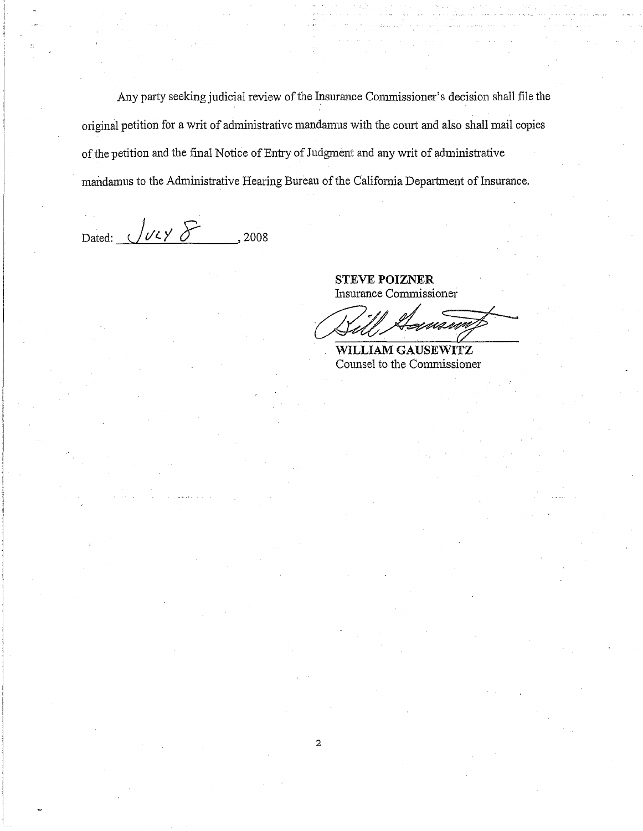Any party seeking judicial review of the Insurance Commissioner's decision shall file the original petition for a writ of administrative mandamus with the court and also shall mail copies of the petition and the final Notice of Entry of Judgment and any writ of administrative mandamus to the Administrative Hearing Bureau of the California Department of Insurance.

2

Dated:  $\sqrt{\frac{Vl}{V}}$ , 2008

**STEVE POIZNER**  Insurance Commissioner

SIEVE FOLLINER<br>
Insurance Commissioner

**WILLIAM GAUSEWITZ**  Counsel to the Commissioner